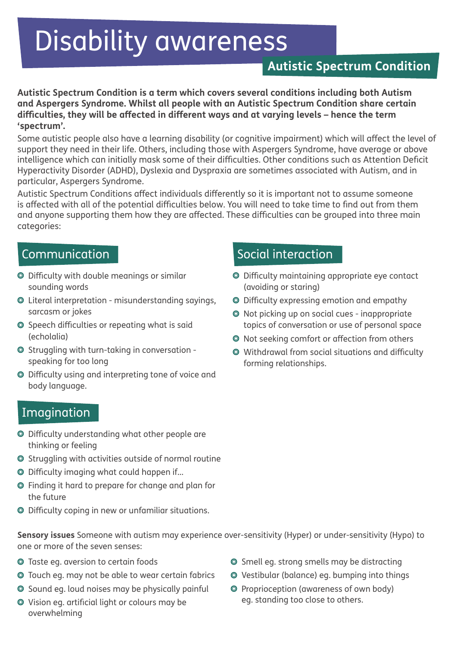# Disability awareness

# **Autistic Spectrum Condition**

**Autistic Spectrum Condition is a term which covers several conditions including both Autism and Aspergers Syndrome. Whilst all people with an Autistic Spectrum Condition share certain difficulties, they will be affected in different ways and at varying levels – hence the term 'spectrum'.** 

Some autistic people also have a learning disability (or cognitive impairment) which will affect the level of support they need in their life. Others, including those with Aspergers Syndrome, have average or above intelligence which can initially mask some of their difficulties. Other conditions such as Attention Deficit Hyperactivity Disorder (ADHD), Dyslexia and Dyspraxia are sometimes associated with Autism, and in particular, Aspergers Syndrome.

Autistic Spectrum Conditions affect individuals differently so it is important not to assume someone is affected with all of the potential difficulties below. You will need to take time to find out from them and anyone supporting them how they are affected. These difficulties can be grouped into three main categories:

#### Communication

- Difficulty with double meanings or similar sounding words
- Literal interpretation misunderstanding sayings, sarcasm or jokes
- **◎** Speech difficulties or repeating what is said (echolalia)
- Struggling with turn-taking in conversation speaking for too long
- Difficulty using and interpreting tone of voice and body language.

#### Imagination

- Difficulty understanding what other people are thinking or feeling
- Struggling with activities outside of normal routine
- Difficulty imaging what could happen if...
- Finding it hard to prepare for change and plan for the future
- Difficulty coping in new or unfamiliar situations.

#### **Sensory issues** Someone with autism may experience over-sensitivity (Hyper) or under-sensitivity (Hypo) to one or more of the seven senses:

- Taste eg. aversion to certain foods
- Touch eg. may not be able to wear certain fabrics
- $\odot$  Sound eg. loud noises may be physically painful
- Vision eg. artificial light or colours may be overwhelming

## Social interaction

- Difficulty maintaining appropriate eye contact (avoiding or staring)
- Difficulty expressing emotion and empathy
- Not picking up on social cues inappropriate topics of conversation or use of personal space
- Not seeking comfort or affection from others
- Withdrawal from social situations and difficulty forming relationships.

- Smell eg. strong smells may be distracting
- Vestibular (balance) eg. bumping into things
- Proprioception (awareness of own body) eg. standing too close to others.